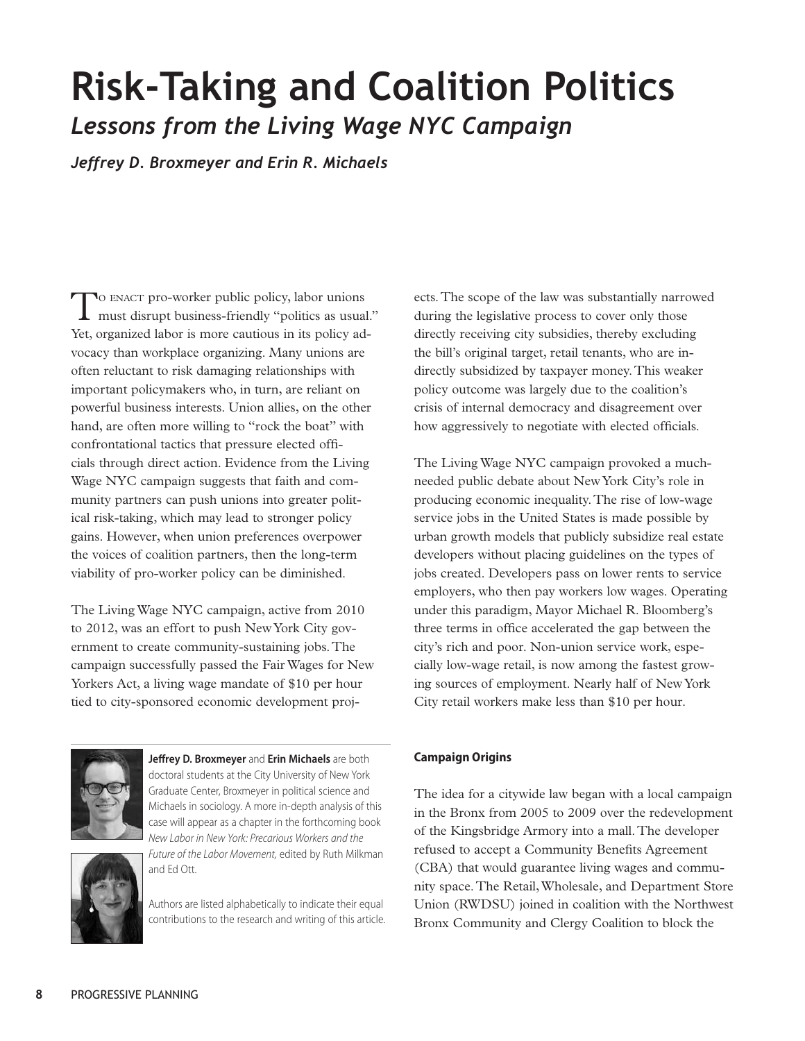## **Risk-Taking and Coalition Politics** *Lessons from the Living Wage NYC Campaign*

*Jeffrey D. Broxmeyer and Erin R. Michaels* 

TO ENACT pro-worker public policy, labor unions<br>must disrupt business-friendly "politics as usual." Yet, organized labor is more cautious in its policy advocacy than workplace organizing. Many unions are often reluctant to risk damaging relationships with important policymakers who, in turn, are reliant on powerful business interests. Union allies, on the other hand, are often more willing to "rock the boat" with confrontational tactics that pressure elected officials through direct action. Evidence from the Living Wage NYC campaign suggests that faith and community partners can push unions into greater political risk-taking, which may lead to stronger policy gains. However, when union preferences overpower the voices of coalition partners, then the long-term viability of pro-worker policy can be diminished.

The Living Wage NYC campaign, active from 2010 to 2012, was an effort to push New York City government to create community-sustaining jobs. The campaign successfully passed the Fair Wages for New Yorkers Act, a living wage mandate of \$10 per hour tied to city-sponsored economic development proj-



**Jeffrey D. Broxmeyer** and **Erin Michaels** are both doctoral students at the City University of New York Graduate Center, Broxmeyer in political science and Michaels in sociology. A more in-depth analysis of this case will appear as a chapter in the forthcoming book *New Labor in New York: Precarious Workers and the Future of the Labor Movement,* edited by Ruth Milkman and Ed Ott.



Authors are listed alphabetically to indicate their equal contributions to the research and writing of this article. ects. The scope of the law was substantially narrowed during the legislative process to cover only those directly receiving city subsidies, thereby excluding the bill's original target, retail tenants, who are indirectly subsidized by taxpayer money. This weaker policy outcome was largely due to the coalition's crisis of internal democracy and disagreement over how aggressively to negotiate with elected officials.

The Living Wage NYC campaign provoked a muchneeded public debate about New York City's role in producing economic inequality. The rise of low-wage service jobs in the United States is made possible by urban growth models that publicly subsidize real estate developers without placing guidelines on the types of jobs created. Developers pass on lower rents to service employers, who then pay workers low wages. Operating under this paradigm, Mayor Michael R. Bloomberg's three terms in office accelerated the gap between the city's rich and poor. Non-union service work, especially low-wage retail, is now among the fastest growing sources of employment. Nearly half of New York City retail workers make less than \$10 per hour.

## **Campaign Origins**

The idea for a citywide law began with a local campaign in the Bronx from 2005 to 2009 over the redevelopment of the Kingsbridge Armory into a mall. The developer refused to accept a Community Benefits Agreement (CBA) that would guarantee living wages and community space. The Retail, Wholesale, and Department Store Union (RWDSU) joined in coalition with the Northwest Bronx Community and Clergy Coalition to block the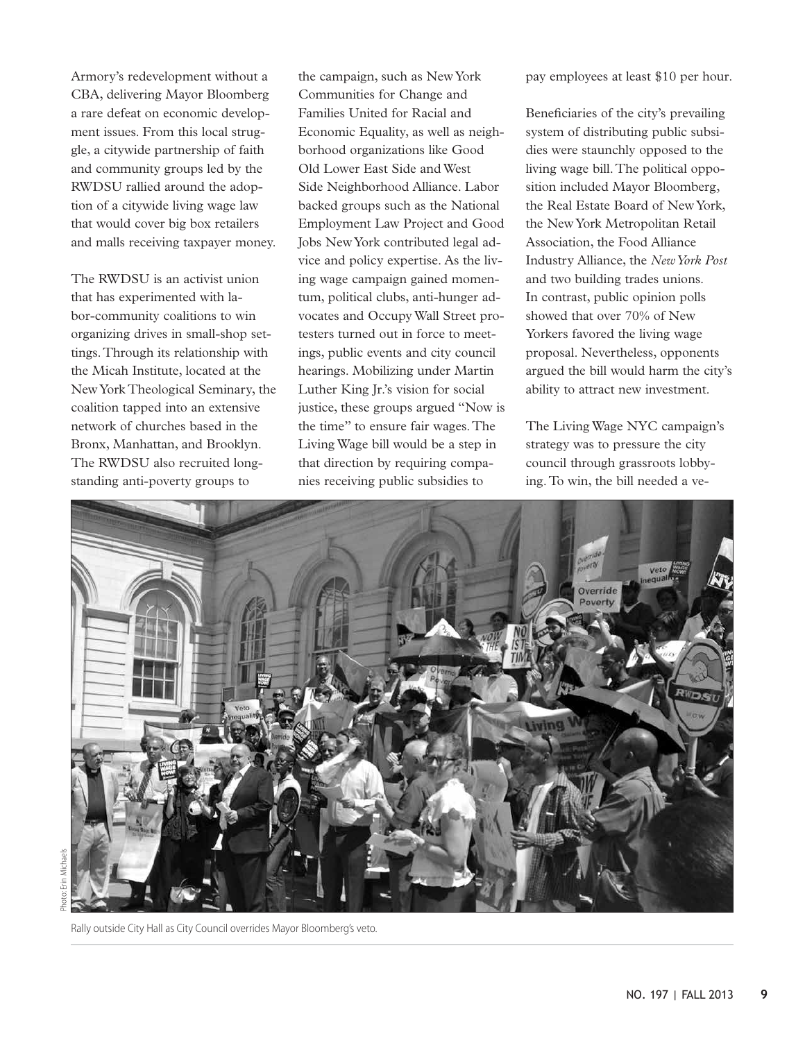Armory's redevelopment without a CBA, delivering Mayor Bloomberg a rare defeat on economic development issues. From this local struggle, a citywide partnership of faith and community groups led by the RWDSU rallied around the adoption of a citywide living wage law that would cover big box retailers and malls receiving taxpayer money.

The RWDSU is an activist union that has experimented with labor-community coalitions to win organizing drives in small-shop settings. Through its relationship with the Micah Institute, located at the New York Theological Seminary, the coalition tapped into an extensive network of churches based in the Bronx, Manhattan, and Brooklyn. The RWDSU also recruited longstanding anti-poverty groups to

the campaign, such as New York Communities for Change and Families United for Racial and Economic Equality, as well as neighborhood organizations like Good Old Lower East Side and West Side Neighborhood Alliance. Labor backed groups such as the National Employment Law Project and Good Jobs New York contributed legal advice and policy expertise. As the living wage campaign gained momentum, political clubs, anti-hunger advocates and Occupy Wall Street protesters turned out in force to meetings, public events and city council hearings. Mobilizing under Martin Luther King Jr.'s vision for social justice, these groups argued "Now is the time" to ensure fair wages. The Living Wage bill would be a step in that direction by requiring companies receiving public subsidies to

pay employees at least \$10 per hour.

Beneficiaries of the city's prevailing system of distributing public subsidies were staunchly opposed to the living wage bill. The political opposition included Mayor Bloomberg, the Real Estate Board of New York, the New York Metropolitan Retail Association, the Food Alliance Industry Alliance, the *New York Post* and two building trades unions. In contrast, public opinion polls showed that over 70% of New Yorkers favored the living wage proposal. Nevertheless, opponents argued the bill would harm the city's ability to attract new investment.

The Living Wage NYC campaign's strategy was to pressure the city council through grassroots lobbying. To win, the bill needed a ve-



Rally outside City Hall as City Council overrides Mayor Bloomberg's veto.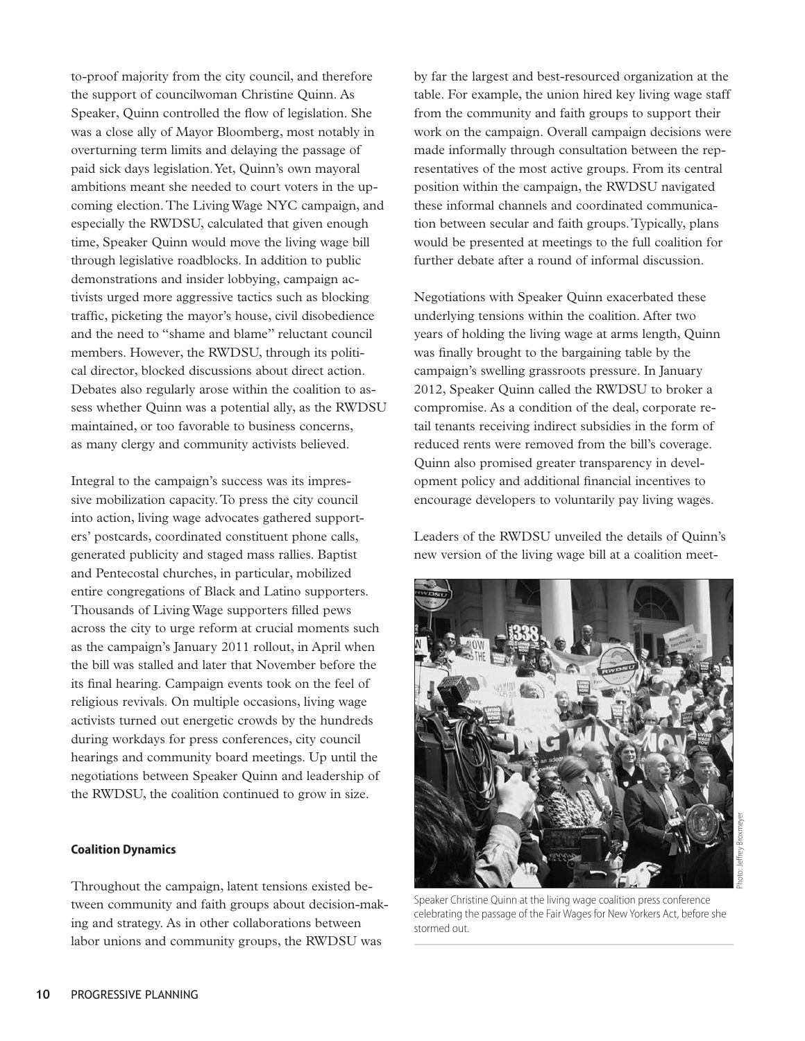to-proof majority from the city council, and therefore the support of councilwoman Christine Quinn. As Speaker, Quinn controlled the flow of legislation. She was a close ally of Mayor Bloomberg, most notably in overturning term limits and delaying the passage of paid sick days legislation. Yet, Quinn's own mayoral ambitions meant she needed to court voters in the upcoming election. The Living Wage NYC campaign, and especially the RWDSU, calculated that given enough time, Speaker Quinn would move the living wage bill through legislative roadblocks. In addition to public demonstrations and insider lobbying, campaign activists urged more aggressive tactics such as blocking traffic, picketing the mayor's house, civil disobedience and the need to "shame and blame" reluctant council members. However, the RWDSU, through its political director, blocked discussions about direct action. Debates also regularly arose within the coalition to assess whether Quinn was a potential ally, as the RWDSU maintained, or too favorable to business concerns, as many clergy and community activists believed.

Integral to the campaign's success was its impressive mobilization capacity. To press the city council into action, living wage advocates gathered supporters' postcards, coordinated constituent phone calls, generated publicity and staged mass rallies. Baptist and Pentecostal churches, in particular, mobilized entire congregations of Black and Latino supporters. Thousands of Living Wage supporters filled pews across the city to urge reform at crucial moments such as the campaign's January 2011 rollout, in April when the bill was stalled and later that November before the its final hearing. Campaign events took on the feel of religious revivals. On multiple occasions, living wage activists turned out energetic crowds by the hundreds during workdays for press conferences, city council hearings and community board meetings. Up until the negotiations between Speaker Quinn and leadership of the RWDSU, the coalition continued to grow in size.

## **Coalition Dynamics**

Throughout the campaign, latent tensions existed between community and faith groups about decision-making and strategy. As in other collaborations between labor unions and community groups, the RWDSU was

by far the largest and best-resourced organization at the table. For example, the union hired key living wage staff from the community and faith groups to support their work on the campaign. Overall campaign decisions were made informally through consultation between the representatives of the most active groups. From its central position within the campaign, the RWDSU navigated these informal channels and coordinated communication between secular and faith groups. Typically, plans would be presented at meetings to the full coalition for further debate after a round of informal discussion.

Negotiations with Speaker Quinn exacerbated these underlying tensions within the coalition. After two years of holding the living wage at arms length, Quinn was finally brought to the bargaining table by the campaign's swelling grassroots pressure. In January 2012, Speaker Quinn called the RWDSU to broker a compromise. As a condition of the deal, corporate retail tenants receiving indirect subsidies in the form of reduced rents were removed from the bill's coverage. Quinn also promised greater transparency in development policy and additional financial incentives to encourage developers to voluntarily pay living wages.

Leaders of the RWDSU unveiled the details of Quinn's new version of the living wage bill at a coalition meet-



Speaker Christine Quinn at the living wage coalition press conference celebrating the passage of the Fair Wages for New Yorkers Act, before she stormed out.